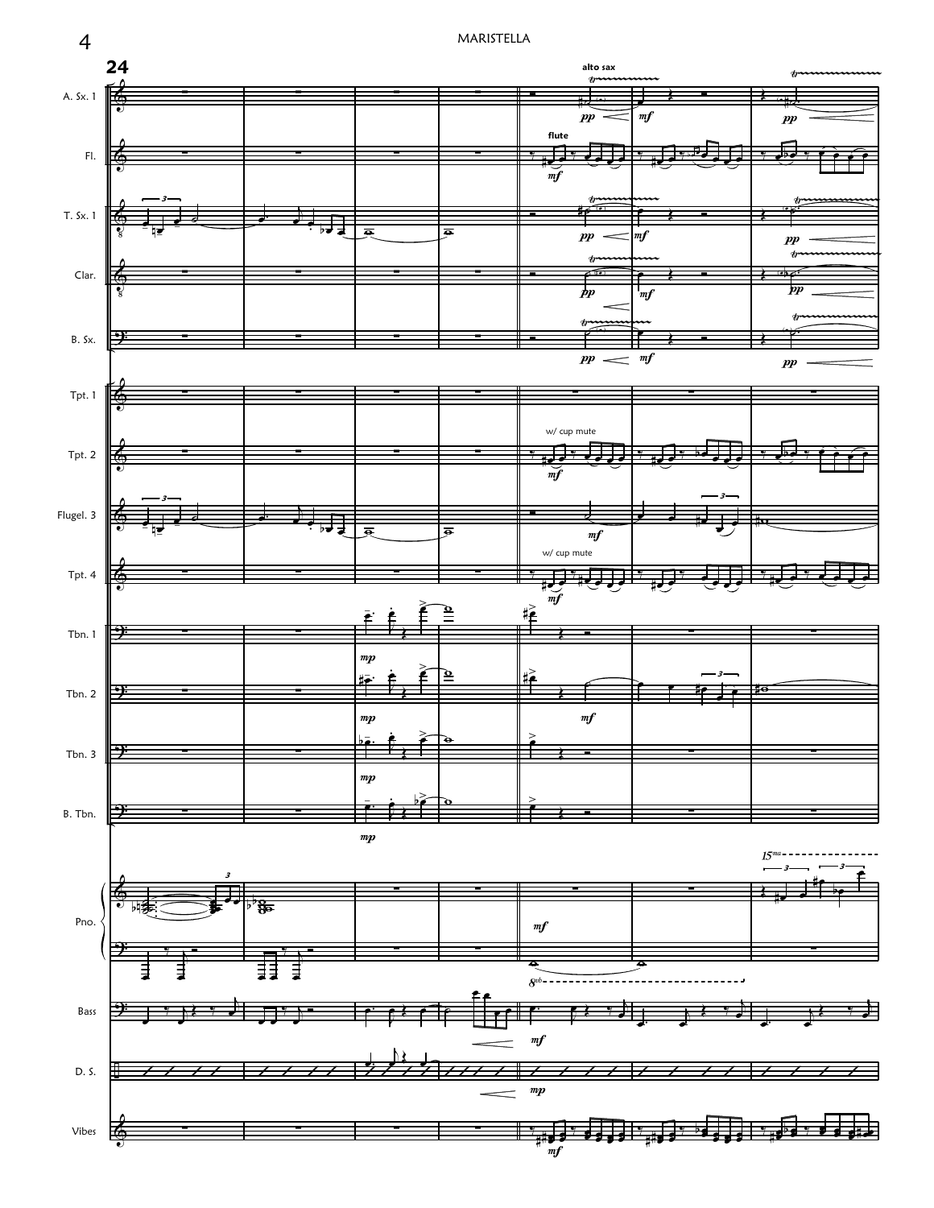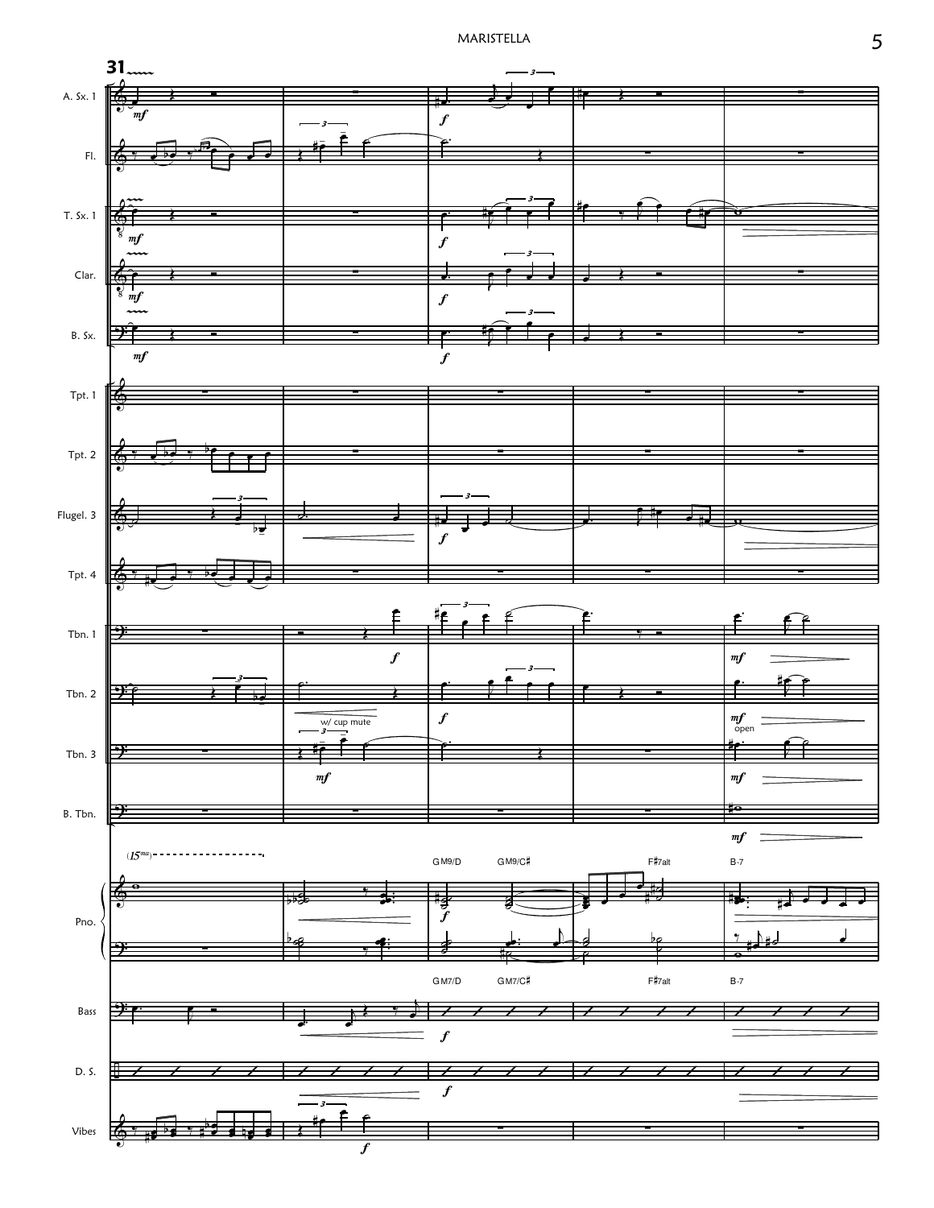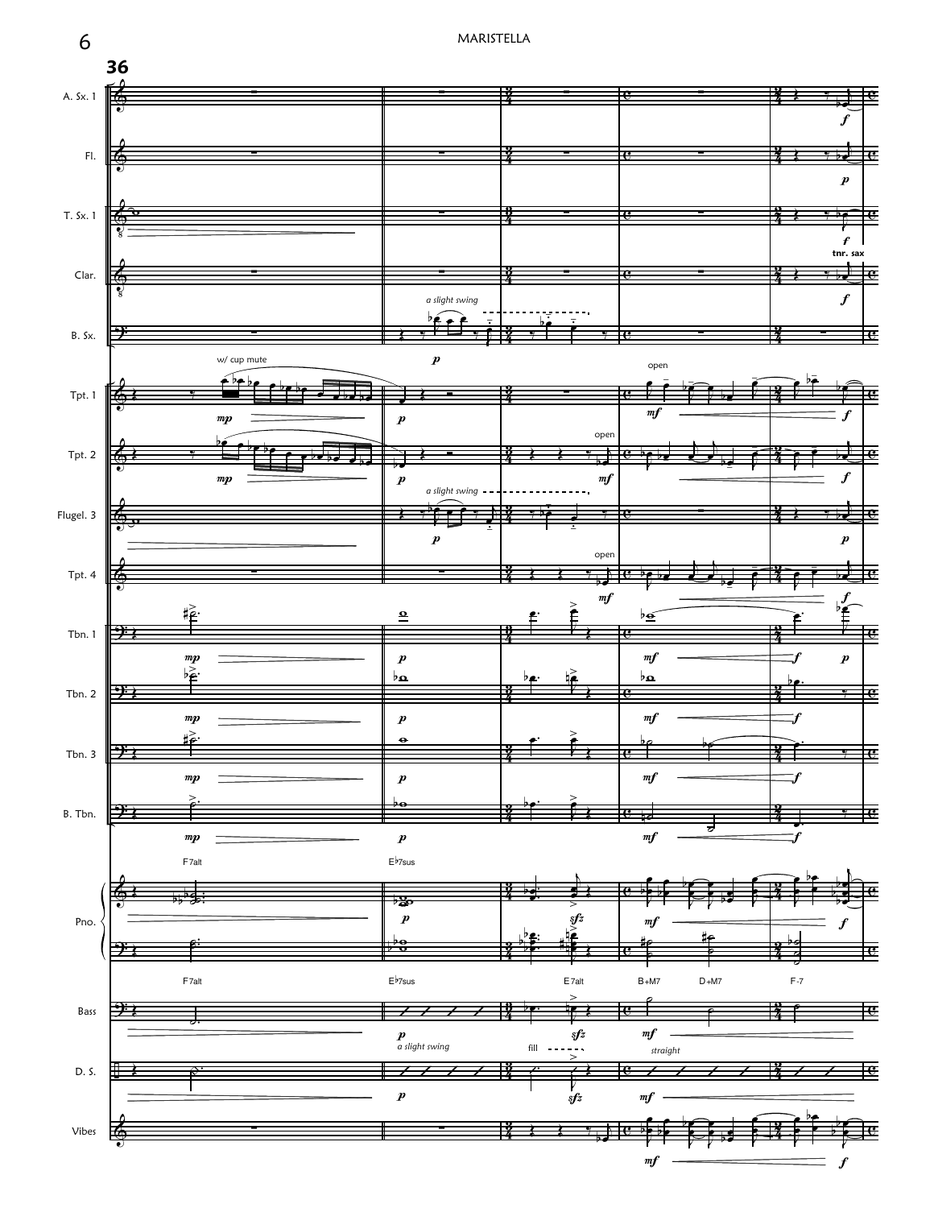

MARISTELLA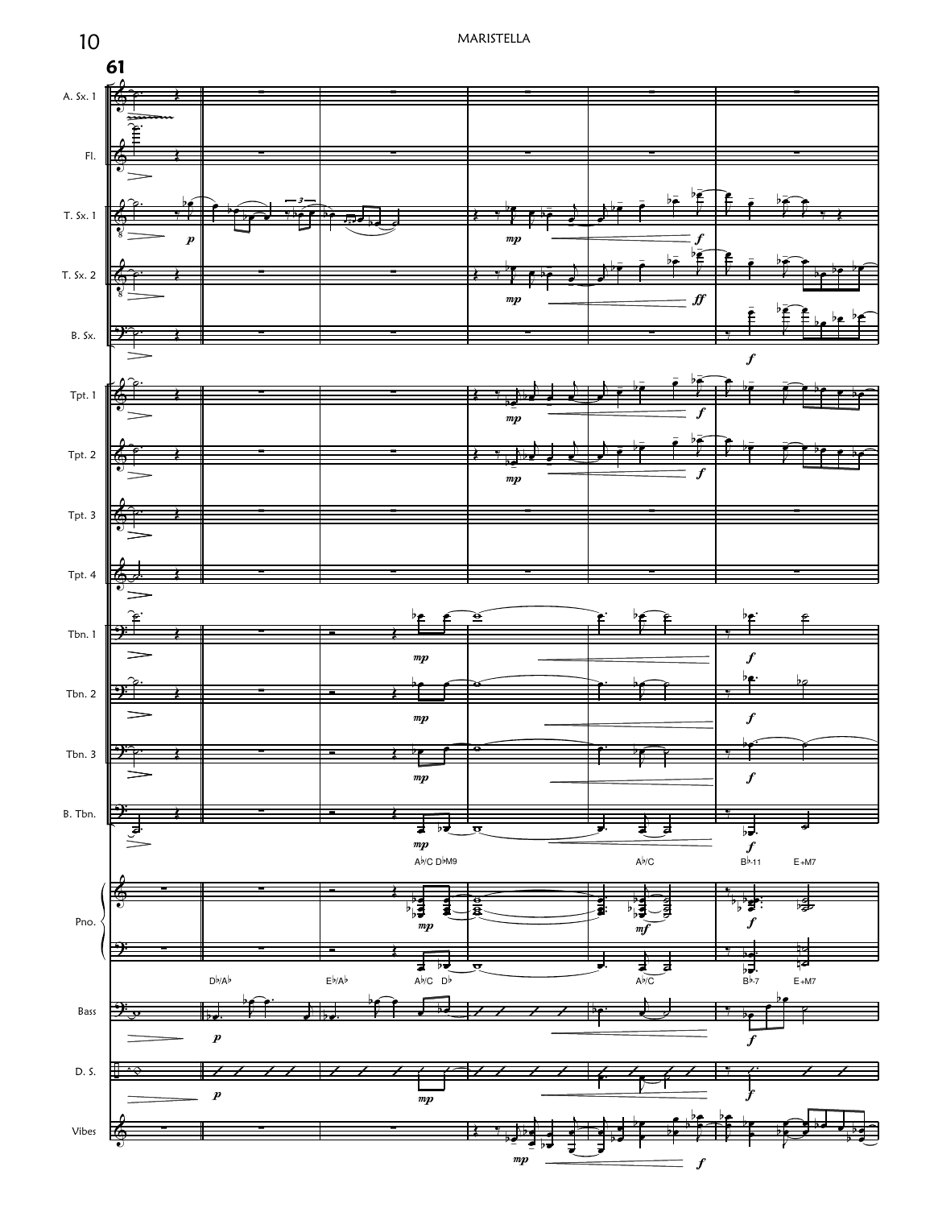

MARISTELLA